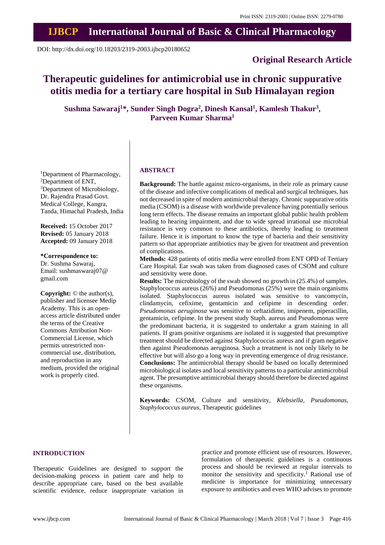# **IJBCP International Journal of Basic & Clinical Pharmacology**

DOI: http://dx.doi.org/10.18203/2319-2003.ijbcp20180652

# **Original Research Article**

# **Therapeutic guidelines for antimicrobial use in chronic suppurative otitis media for a tertiary care hospital in Sub Himalayan region**

**Sushma Sawaraj<sup>1</sup>\*, Sunder Singh Dogra<sup>2</sup> , Dinesh Kansal<sup>1</sup> , Kamlesh Thakur<sup>3</sup> , Parveen Kumar Sharma<sup>1</sup>**

<sup>1</sup>Department of Pharmacology, <sup>2</sup>Department of ENT, <sup>3</sup>Department of Microbiology, Dr. Rajendra Prasad Govt. Medical College, Kangra, Tanda, Himachal Pradesh, India

**Received:** 15 October 2017 **Revised:** 05 January 2018 **Accepted:** 09 January 2018

**\*Correspondence to:** Dr. Sushma Sawaraj, Email: sushmaswaraj07@ gmail.com

**Copyright:** © the author(s), publisher and licensee Medip Academy. This is an openaccess article distributed under the terms of the Creative Commons Attribution Non-Commercial License, which permits unrestricted noncommercial use, distribution, and reproduction in any medium, provided the original work is properly cited.

#### **ABSTRACT**

**Background:** The battle against micro-organisms, in their role as primary cause of the disease and infective complications of medical and surgical techniques, has not decreased in spite of modern antimicrobial therapy. Chronic suppurative otitis media (CSOM) is a disease with worldwide prevalence having potentially serious long term effects. The disease remains an important global public health problem leading to hearing impairment, and due to wide spread irrational use microbial resistance is very common to these antibiotics, thereby leading to treatment failure. Hence it is important to know the type of bacteria and their sensitivity pattern so that appropriate antibiotics may be given for treatment and prevention of complications.

**Methods:** 428 patients of otitis media were enrolled from ENT OPD of Tertiary Care Hospital. Ear swab was taken from diagnosed cases of CSOM and culture and sensitivity were done.

**Results:** The microbiology of the swab showed no growth in  $(25.4%)$  of samples. Staphylococcus aureus (26%) and Pseudomonas (25%) were the main organisms isolated. Staphylococcus aureus isolated was sensitive to vancomycin, clindamycin, cefixime, gentamicin and cefipime in descending order. *Pseudomonas aeruginosa* was sensitive to ceftazidime, imipenem, piperacillin, gentamicin, cefipime. In the present study Staph. aureus and Pseudomonas were the predominant bacteria, it is suggested to undertake a gram staining in all patients. If gram positive organisms are isolated it is suggested that presumptive treatment should be directed against Staphylococcus aureus and if gram negative then against Pseudomonas aeruginosa. Such a treatment is not only likely to be effective but will also go a long way in preventing emergence of drug resistance. **Conclusions:** The antimicrobial therapy should be based on locally determined microbiological isolates and local sensitivity patterns to a particular antimicrobial agent. The presumptive antimicrobial therapy should therefore be directed against these organisms.

**Keywords:** CSOM, Culture and sensitivity, *Klebsiella, Pseudomonas*, *Staphylococcus aureus*, Therapeutic guidelines

#### **INTRODUCTION**

Therapeutic Guidelines are designed to support the decision-making process in patient care and help to describe appropriate care, based on the best available scientific evidence, reduce inappropriate variation in practice and promote efficient use of resources. However, formulation of therapeutic guidelines is a continuous process and should be reviewed at regular intervals to monitor the sensitivity and specificity.<sup>1</sup> Rational use of medicine is importance for minimizing unnecessary exposure to antibiotics and even WHO advises to promote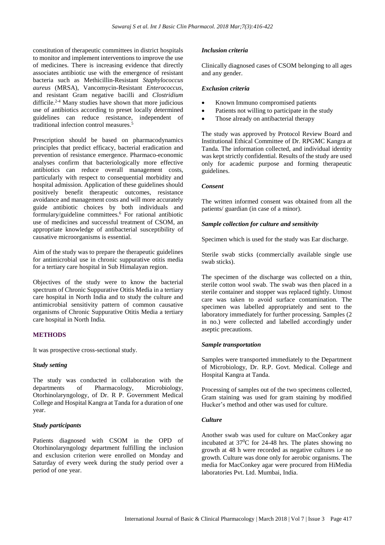constitution of therapeutic committees in district hospitals to monitor and implement interventions to improve the use of medicines. There is increasing evidence that directly associates antibiotic use with the emergence of resistant bacteria such as Methicillin-Resistant *Staphylococcus aureus* (MRSA), Vancomycin-Resistant *Enterococcus*, and resistant Gram negative bacilli and *Clostridium* difficile.2-4 Many studies have shown that more judicious use of antibiotics according to preset locally determined guidelines can reduce resistance, independent of traditional infection control measures.<sup>5</sup>

Prescription should be based on pharmacodynamics principles that predict efficacy, bacterial eradication and prevention of resistance emergence. Pharmaco-economic analyses confirm that bacteriologically more effective antibiotics can reduce overall management costs, particularly with respect to consequential morbidity and hospital admission. Application of these guidelines should positively benefit therapeutic outcomes, resistance avoidance and management costs and will more accurately guide antibiotic choices by both individuals and formulary/guideline committees.<sup>6</sup> For rational antibiotic use of medicines and successful treatment of CSOM, an appropriate knowledge of antibacterial susceptibility of causative microorganisms is essential.

Aim of the study was to prepare the therapeutic guidelines for antimicrobial use in chronic suppurative otitis media for a tertiary care hospital in Sub Himalayan region.

Objectives of the study were to know the bacterial spectrum of Chronic Suppurative Otitis Media in a tertiary care hospital in North India and to study the culture and antimicrobial sensitivity pattern of common causative organisms of Chronic Suppurative Otitis Media a tertiary care hospital in North India.

# **METHODS**

It was prospective cross-sectional study.

## *Study setting*

The study was conducted in collaboration with the departments of Pharmacology, Microbiology, Otorhinolaryngology, of Dr. R P. Government Medical College and Hospital Kangra at Tanda for a duration of one year.

#### *Study participants*

Patients diagnosed with CSOM in the OPD of Otorhinolaryngology department fulfilling the inclusion and exclusion criterion were enrolled on Monday and Saturday of every week during the study period over a period of one year.

#### *Inclusion criteria*

Clinically diagnosed cases of CSOM belonging to all ages and any gender.

#### *Exclusion criteria*

- Known Immuno compromised patients
- Patients not willing to participate in the study
- Those already on antibacterial therapy

The study was approved by Protocol Review Board and Institutional Ethical Committee of Dr. RPGMC Kangra at Tanda. The information collected, and individual identity was kept strictly confidential. Results of the study are used only for academic purpose and forming therapeutic guidelines.

#### *Consent*

The written informed consent was obtained from all the patients/ guardian (in case of a minor).

### *Sample collection for culture and sensitivity*

Specimen which is used for the study was Ear discharge.

Sterile swab sticks (commercially available single use swab sticks).

The specimen of the discharge was collected on a thin, sterile cotton wool swab. The swab was then placed in a sterile container and stopper was replaced tightly. Utmost care was taken to avoid surface contamination. The specimen was labelled appropriately and sent to the laboratory immediately for further processing. Samples (2 in no.) were collected and labelled accordingly under aseptic precautions.

#### *Sample transportation*

Samples were transported immediately to the Department of Microbiology, Dr. R.P. Govt. Medical. College and Hospital Kangra at Tanda.

Processing of samples out of the two specimens collected, Gram staining was used for gram staining by modified Hucker's method and other was used for culture.

#### *Culture*

Another swab was used for culture on MacConkey agar incubated at  $37^{\circ}$ C for 24-48 hrs. The plates showing no growth at 48 h were recorded as negative cultures i.e no growth. Culture was done only for aerobic organisms. The media for MacConkey agar were procured from HiMedia laboratories Pvt. Ltd. Mumbai, India.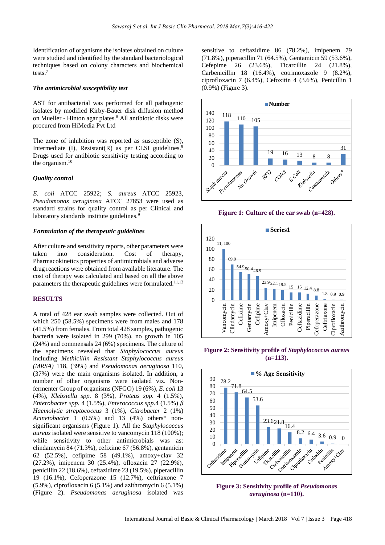Identification of organisms the isolates obtained on culture were studied and identified by the standard bacteriological techniques based on colony characters and biochemical tests.<sup>7</sup>

#### *The antimicrobial susceptibility test*

AST for antibacterial was performed for all pathogenic isolates by modified Kirby-Bauer disk diffusion method on Mueller - Hinton agar plates.<sup>8</sup> All antibiotic disks were procured from HiMedia Pvt Ltd

The zone of inhibition was reported as susceptible (S), Intermediate  $(I)$ , Resistant $(R)$  as per CLSI guidelines.<sup>9</sup> Drugs used for antibiotic sensitivity testing according to the organism.<sup>10</sup>

#### *Quality control*

*E. coli* ATCC 25922; *S. aureus* ATCC 25923, *Pseudomonas aeruginosa* ATCC 27853 were used as standard strains for quality control as per Clinical and laboratory standards institute guidelines.<sup>9</sup>

#### *Formulation of the therapeutic guidelines*

After culture and sensitivity reports, other parameters were taken into consideration. Cost of therapy, Pharmacokinetics properties of antimicrobials and adverse drug reactions were obtained from available literature. The cost of therapy was calculated and based on all the above parameters the therapeutic guidelines were formulated.<sup>11,12</sup>

#### **RESULTS**

A total of 428 ear swab samples were collected. Out of which 250 (58.5%) specimens were from males and 178 (41.5%) from females. From total 428 samples, pathogenic bacteria were isolated in 299 (70%), no growth in 105 (24%) and commensals 24 (6%) specimens. The culture of the specimens revealed that *Staphylococcus aureus* including *Methicillin Resistant Staphylococcus aureus (MRSA)* 118, (39%) and *Pseudomonas aeruginosa* 110, (37%) were the main organisms isolated. In addition, a number of other organisms were isolated viz. Nonfermenter Group of organisms (NFGO) 19 (6%)*, E. coli* 13 (4%), *Klebsiella spp.* 8 (3%), *Proteus spp.* 4 (1.5%), *Enterobacter spp.* 4 (1.5%), *Enterococcus spp.*4 (1.5%) *β Haemolytic streptococcus* 3 (1%), *Citrobacter* 2 (1%) *Acinetobacter* 1 (0.5%) and 13 (4%) others\* nonsignificant organisms (Figure 1). All the S*taphylococcus aureus* isolated were sensitive to vancomycin 118 (100%); while sensitivity to other antimicrobials was as: clindamycin 84 (71.3%), cefixime 67 (56.8%), gentamicin 62 (52.5%), cefipime 58 (49.1%), amoxy+clav 32 (27.2%), imipenem 30 (25.4%), ofloxacin 27 (22.9%), penicillin 22 (18.6%), ceftazidime 23 (19.5%), piperacillin 19 (16.1%), Cefoperazone 15 (12.7%), ceftriaxone 7 (5.9%), ciprofloxacin 6 (5.1%) and azithromycin 6 (5.1%) (Figure 2). *Pseudomonas aeruginosa* isolated was sensitive to ceftazidime 86 (78.2%), imipenem 79 (71.8%), piperacillin 71 (64.5%), Gentamicin 59 (53.6%), Cefepime 26 (23.6%), Ticarcillin 24 (21.8%), Carbenicillin 18 (16.4%), cotrimoxazole 9 (8.2%), ciprofloxacin 7 (6.4%), Cefoxitin 4 (3.6%), Penicillin 1 (0.9%) (Figure 3).



**Figure 1: Culture of the ear swab (n=428).**



**Figure 2: Sensitivity profile of** *Staphylococcus aureus* **(n=113).**



**Figure 3: Sensitivity profile of** *Pseudomonas aeruginosa* **(n=110).**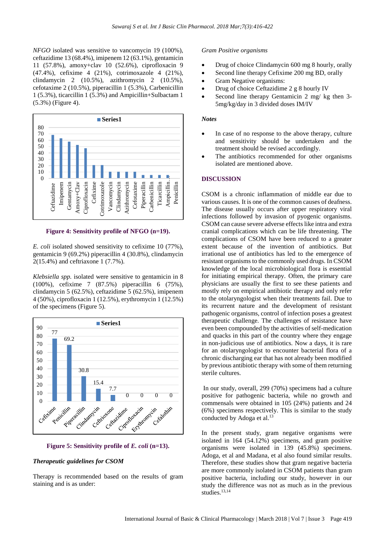*NFGO* isolated was sensitive to vancomycin 19 (100%), ceftazidime 13 (68.4%), imipenem 12 (63.1%), gentamicin 11 (57.8%), amoxy+clav 10 (52.6%), ciprofloxacin 9 (47.4%), cefixime 4 (21%), cotrimoxazole 4 (21%), clindamycin 2 (10.5%), azithromycin 2 (10.5%), cefotaxime 2 (10.5%), piperacillin 1 (5.3%), Carbenicillin 1 (5.3%), ticarcillin 1 (5.3%) and Ampicillin+Sulbactam 1 (5.3%) (Figure 4).



**Figure 4: Sensitivity profile of NFGO (n=19).**

*E. coli* isolated showed sensitivity to cefixime 10 (77%), gentamicin 9 (69.2%) piperacillin 4 (30.8%), clindamycin 2(15.4%) and ceftriaxone 1 (7.7%).

*Klebsiella spp.* isolated were sensitive to gentamicin in 8 (100%), cefixime 7 (87.5%) piperacillin 6 (75%), clindamycin 5 (62.5%), ceftazidime 5 (62.5%), imipenem 4 (50%), ciprofloxacin 1 (12.5%), erythromycin 1 (12.5%) of the specimens (Figure 5).





#### *Therapeutic guidelines for CSOM*

Therapy is recommended based on the results of gram staining and is as under:

#### *Gram Positive organisms*

- Drug of choice Clindamycin 600 mg 8 hourly, orally
- Second line therapy Cefixime 200 mg BD, orally
- Gram Negative organisms:
- Drug of choice Ceftazidime 2 g 8 hourly IV
- Second line therapy Gentamicin 2 mg/ kg then 3-5mg/kg/day in 3 divided doses IM/IV

#### *Notes*

- In case of no response to the above therapy, culture and sensitivity should be undertaken and the treatment should be revised accordingly.
- The antibiotics recommended for other organisms isolated are mentioned above.

#### **DISCUSSION**

CSOM is a chronic inflammation of middle ear due to various causes. It is one of the common causes of deafness. The disease usually occurs after upper respiratory viral infections followed by invasion of pyogenic organisms. CSOM can cause severe adverse effects like intra and extra cranial complications which can be life threatening. The complications of CSOM have been reduced to a greater extent because of the invention of antibiotics. But irrational use of antibiotics has led to the emergence of resistant organisms to the commonly used drugs. In CSOM knowledge of the local microbiological flora is essential for initiating empirical therapy. Often, the primary care physicians are usually the first to see these patients and mostly rely on empirical antibiotic therapy and only refer to the otolaryngologist when their treatments fail. Due to its recurrent nature and the development of resistant pathogenic organisms, control of infection poses a greatest therapeutic challenge. The challenges of resistance have even been compounded by the activities of self-medication and quacks in this part of the country where they engage in non-judicious use of antibiotics. Now a days, it is rare for an otolaryngologist to encounter bacterial flora of a chronic discharging ear that has not already been modified by previous antibiotic therapy with some of them returning sterile cultures.

In our study, overall, 299 (70%) specimens had a culture positive for pathogenic bacteria, while no growth and commensals were obtained in 105 (24%) patients and 24 (6%) specimens respectively. This is similar to the study conducted by Adoga et al. 13

In the present study, gram negative organisms were isolated in 164 (54.12%) specimens, and gram positive organisms were isolated in 139 (45.8%) specimens. Adoga, et al and Madana, et al also found similar results. Therefore, these studies show that gram negative bacteria are more commonly isolated in CSOM patients than gram positive bacteria, including our study, however in our study the difference was not as much as in the previous studies.<sup>13,14</sup>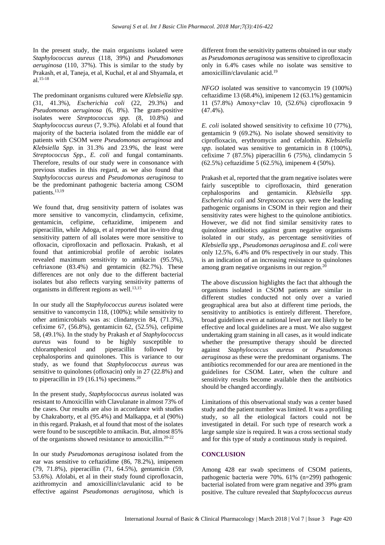In the present study, the main organisms isolated were *Staphylococcus aureus* (118, 39%) and *Pseudomonas aeruginosa* (110, 37%). This is similar to the study by Prakash, et al, Taneja, et al, Kuchal, et al and Shyamala, et al. 15-18

The predominant organisms cultured were *Klebsiella spp.* (31, 41.3%), *Escherichia coli* (22, 29.3%) and *Pseudomonas aeruginosa* (6, 8%). The gram-positive isolates were *Streptococcus spp.* (8, 10.8%) and *Staphylococcus aureus* (7, 9.3%). Afolabi et al found that majority of the bacteria isolated from the middle ear of patients with CSOM were *Pseudomonas aeruginosa* and *Klebsiella Spp.* in 31.3% and 23.9%, the least were *Streptococcus Spp., E. coli* and fungal contaminants. Therefore, results of our study were in consonance with previous studies in this regard, as we also found that *Staphylococcus aureus* and *Pseudomonas aeruginosa* to be the predominant pathogenic bacteria among CSOM patients.<sup>13,19</sup>

We found that, drug sensitivity pattern of isolates was more sensitive to vancomycin, clindamycin, cefixime, gentamicin, cefipime, ceftazidime, imipenem and piperacillin, while Adoga, et al reported that in-vitro drug sensitivity pattern of all isolates were more sensitive to ofloxacin, ciprofloxacin and pefloxacin. Prakash, et al found that antimicrobial profile of aerobic isolates revealed maximum sensitivity to amikacin (95.5%), ceftriaxone (83.4%) and gentamicin (82.7%). These differences are not only due to the different bacterial isolates but also reflects varying sensitivity patterns of organisms in different regions as well.<sup>13,15</sup>

In our study all the S*taphylococcus aureus* isolated were sensitive to vancomycin 118, (100%); while sensitivity to other antimicrobials was as: clindamycin 84, (71.3%), cefixime 67, (56.8%), gentamicin 62, (52.5%), cefipime 58, (49.1%). In the study by Prakash *et al Staphylococcus aureus* was found to be highly susceptible to chloramphenicol and piperacillin followed by cephalosporins and quinolones. This is variance to our study, as we found that *Staphylococcus aureus* was sensitive to quinolones (ofloxacin) only in 27 (22.8%) and to piperacillin in 19 (16.1%) specimens.<sup>20</sup>

In the present study, *Staphylococcus aureus* isolated was resistant to Amoxicillin with Clavulanate in almost 73% of the cases. Our results are also in accordance with studies by Chakraborty, et al (95.4%) and Malkappa, et al (90%) in this regard. Prakash, et al found that most of the isolates were found to be susceptible to amikacin. But, almost 85% of the organisms showed resistance to amoxicillin.20-22

In our study *Pseudomonas aeruginosa* isolated from the ear was sensitive to ceftazidime (86, 78.2%), imipenem (79, 71.8%), piperacillin (71, 64.5%), gentamicin (59, 53.6%). Afolabi, et al in their study found ciprofloxacin, azithromycin and amoxicillin/clavulanic acid to be effective against *Pseudomonas aeruginosa,* which is different from the sensitivity patterns obtained in our study as *Pseudomonas aeruginosa* was sensitive to ciprofloxacin only in 6.4% cases while no isolate was sensitive to amoxicillin/clavulanic acid.<sup>19</sup>

*NFGO* isolated was sensitive to vancomycin 19 (100%) ceftazidime 13 (68.4%), imipenem 12 (63.1%) gentamicin 11 (57.8%) Amoxy+clav 10, (52.6%) ciprofloxacin 9 (47.4%).

*E. coli* isolated showed sensitivity to cefixime 10 (77%), gentamicin 9 (69.2%). No isolate showed sensitivity to ciprofloxacin, erythromycin and cefalothin. *Klebsiella spp.* isolated was sensitive to gentamicin in 8 (100%), cefixime 7 (87.5%) piperacillin 6 (75%), clindamycin 5 (62.5%) ceftazidime 5 (62.5%), imipenem 4 (50%).

Prakash et al, reported that the gram negative isolates were fairly susceptible to ciprofloxacin, third generation cephalosporins and gentamicin. *Klebsiella spp. Escherichia coli* and *Streptococcus spp*. were the leading pathogenic organisms in CSOM in their region and their sensitivity rates were highest to the quinolone antibiotics. However, we did not find similar sensitivity rates to quinolone antibiotics against gram negative organisms isolated in our study, as percentage sensitivities of *Klebsiella spp., Pseudomonas aeruginosa* and *E. coli* were only 12.5%, 6.4% and 0% respectively in our study. This is an indication of an increasing resistance to quinolones among gram negative organisms in our region. $20$ 

The above discussion highlights the fact that although the organisms isolated in CSOM patients are similar in different studies conducted not only over a varied geographical area but also at different time periods, the sensitivity to antibiotics is entirely different. Therefore, broad guidelines even at national level are not likely to be effective and local guidelines are a must. We also suggest undertaking gram staining in all cases, as it would indicate whether the presumptive therapy should be directed against *Staphylococcus aureus* or *Pseudomonas aeruginosa* as these were the predominant organisms. The antibiotics recommended for our area are mentioned in the guidelines for CSOM. Later, when the culture and sensitivity results become available then the antibiotics should be changed accordingly.

Limitations of this observational study was a center based study and the patient number waslimited. It was a profiling study, so all the etiological factors could not be investigated in detail. For such type of research work a large sample size is required. It was a cross sectional study and for this type of study a continuous study is required.

## **CONCLUSION**

Among 428 ear swab specimens of CSOM patients, pathogenic bacteria were 70%. 61% (n=299) pathogenic bacterial isolated from were gram negative and 39% gram positive. The culture revealed that *Staphylococcus aureus*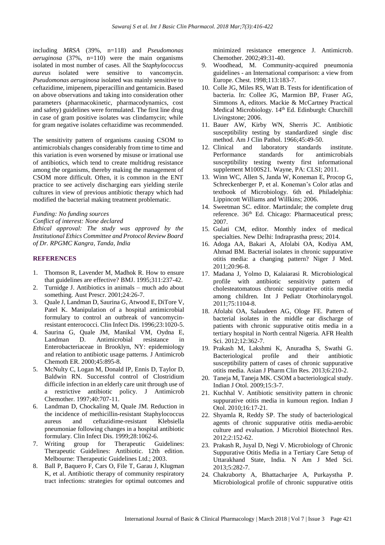including *MRSA* (39%, n=118) and *Pseudomonas aeruginosa* (37%, n=110) were the main organisms isolated in most number of cases. All the S*taphylococcus aureus* isolated were sensitive to vancomycin. *Pseudomonas aeruginosa* isolated was mainly sensitive to ceftazidime, imipenem, piperacillin and gentamicin. Based on above observations and taking into consideration other parameters (pharmacokinetic, pharmacodynamics, cost and safety) guidelines were formulated. The first line drug in case of gram positive isolates was clindamycin; while for gram negative isolates ceftazidime was recommended.

The sensitivity pattern of organisms causing CSOM to antimicrobials changes considerably from time to time and this variation is even worsened by misuse or irrational use of antibiotics, which tend to create multidrug resistance among the organisms, thereby making the management of CSOM more difficult. Often, it is common in the ENT practice to see actively discharging ears yielding sterile cultures in view of previous antibiotic therapy which had modified the bacterial making treatment problematic.

*Funding: No funding sources Conflict of interest: None declared Ethical approval: The study was approved by the Institutional Ethics Committee and Protocol Review Board of Dr. RPGMC Kangra, Tanda, India*

#### **REFERENCES**

- 1. Thomson R, Lavender M, Madhok R. How to ensure that guidelines are effective? BMJ. 1995;311:237-42.
- 2. Turnidge J. Antibiotics in animals much ado about something. Aust Prescr. 2001;24:26-7.
- 3. Quale J, Landman D, Saurina G, Atwood E, DiTore V, Patel K. Manipulation of a hospital antimicrobial formulary to control an outbreak of vancomycinresistant enterococci. Clin Infect Dis. 1996;23:1020-5.
- 4. Saurina G, Quale JM, Manikal VM, Oydna E, Landman D. Antimicrobial resistance in Enterobacteriaceae in Brooklyn, NY: epidemiology and relation to antibiotic usage patterns. J Antimicrob Chemoth ER. 2000;45:895-8.
- 5. McNulty C, Logan M, Donald IP, Ennis D, Taylor D, Baldwin RN. Successful control of Clostridium difficile infection in an elderly care unit through use of a restrictive antibiotic policy. J Antimicrob Chemother. 1997;40:707-11.
- 6. Landman D, Chockaling M, Quale JM. Reduction in the incidence of methicillin-resistant Staphylococcus aureus and ceftazidime-resistant Klebsiella pneumoniae following changes in a hospital antibiotic formulary. Clin Infect Dis. 1999;28:1062-6.
- 7. Writing group for Therapeutic Guidelines: Therapeutic Guidelines: Antibiotic. 12th edition. Melbourne: Therapeutic Guidelines Ltd.; 2003.
- 8. Ball P, Baquero F, Cars O, File T, Garau J, Klugman K, et al. Antibiotic therapy of community respiratory tract infections: strategies for optimal outcomes and

minimized resistance emergence J. Antimicrob. Chemother. 2002;49:31-40.

- 9. Woodhead, M. Community-acquired pneumonia guidelines - an International comparison: a view from Europe. Chest. 1998;113:183-7.
- 10. Colle JG, Miles RS, Watt B. Tests for identification of bacteria. In: Collee JG, Marmion BP, Fraser AG, Simmons A, editors. Mackie & McCartney Practical Medical Microbiology. 14<sup>th</sup> Ed. Edinburgh: Churchill Livingstone; 2006.
- 11. Bauer AW, Kirby WN, Sherris JC. Antibiotic susceptibility testing by standardized single disc method. Am J Clin Pathol. 1966;45:49-50.
- 12. Clinical and laboratory standards institute. Performance standards for antimicrobials susceptibility testing twenty first informational supplement M100S21. Wayne, PA: CLSI; 2011.
- 13. Winn WC, Allen S, Janda W, Koneman E, Procop G, Schreckenberger P, et al. Koneman's Color atlas and textbook of Microbiology. 6th ed. Philadelphia: Lippincott Williams and Willkins; 2006.
- 14. Sweetman SC. editor. Martindale; the complete drug reference. 36<sup>th</sup> Ed. Chicago: Pharmaceutical press; 2007.
- 15. Gulati CM, editor. Monthly index of medical specialties. New Delhi: Indraprastha press; 2014.
- 16. Adoga AA, Bakari A, Afolabi OA, Kodiya AM, Ahmad BM. Bacterial isolates in chronic suppurative otitis media: a changing pattern? Niger J Med. 2011;20:96-8.
- 17. Madana J, Yolmo D, Kalaiarasi R. Microbiological profile with antibiotic sensitivity pattern of cholesteatomatous chronic suppurative otitis media among children. Int J Pediatr Otorhinolaryngol. 2011;75:1104-8.
- 18. Afolabi OA, Salaudeen AG, Ologe FE. Pattern of bacterial isolates in the middle ear discharge of patients with chronic suppurative otitis media in a tertiary hospital in North central Nigeria. AFR Health Sci. 2012;12:362-7.
- 19. Prakash M, Lakshmi K, Anuradha S, Swathi G. Bacteriological profile and their antibiotic susceptibility pattern of cases of chronic suppurative otitis media. Asian J Pharm Clin Res. 2013;6:210-2.
- 20. Taneja M, Taneja MK. CSOM a bacteriological study. Indian J Otol. 2009;15:3-7.
- 21. Kuchhal V. Antibiotic sensitivity pattern in chronic suppurative otitis media in kumoun region. Indian J Otol. 2010;16:17-21.
- 22. Shyamla R, Reddy SP. The study of bacteriological agents of chronic suppurative otitis media-aerobic culture and evaluation. J Microbiol Biotechnol Res. 2012;2:152-62.
- 23. Prakash R, Juyal D, Negi V. Microbiology of Chronic Suppurative Otitis Media in a Tertiary Care Setup of Uttarakhand State, India. N Am J Med Sci. 2013;5:282-7.
- 24. Chakraborty A, Bhattacharjee A, Purkaystha P. Microbiological profile of chronic suppurative otitis